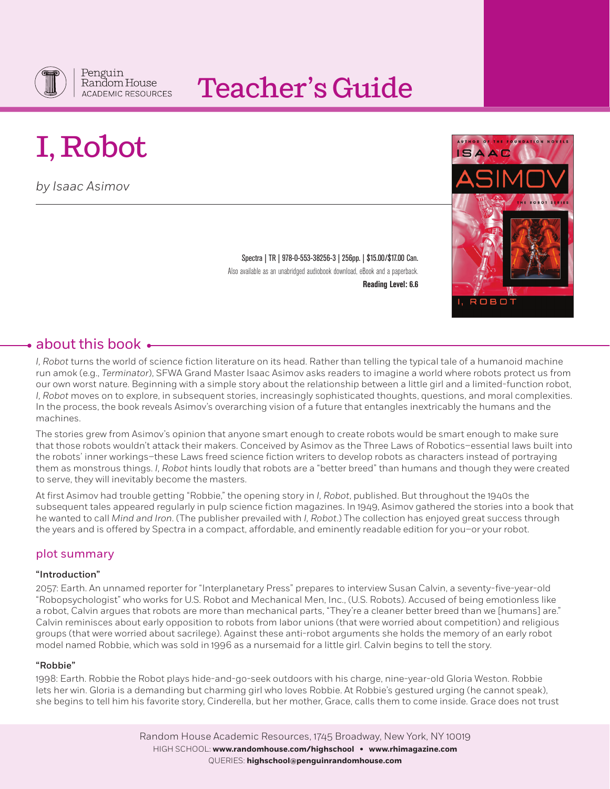

## Teacher's Guide

# I, Robot

*by Isaac Asimov* 

Spectra | TR | 978-0-553-38256-3 | 256pp. | \$15.00/\$17.00 Can. Also available as an unabridged audiobook download, eBook and a paperback. **Reading Level: 6.6**



## $\bullet$  about this book  $\bullet$

*I, Robot* turns the world of science fiction literature on its head. Rather than telling the typical tale of a humanoid machine run amok (e.g., *Terminator*), SFWA Grand Master Isaac Asimov asks readers to imagine a world where robots protect us from our own worst nature. Beginning with a simple story about the relationship between a little girl and a limited-function robot, *I, Robot* moves on to explore, in subsequent stories, increasingly sophisticated thoughts, questions, and moral complexities. In the process, the book reveals Asimov's overarching vision of a future that entangles inextricably the humans and the machines.

The stories grew from Asimov's opinion that anyone smart enough to create robots would be smart enough to make sure that those robots wouldn't attack their makers. Conceived by Asimov as the Three Laws of Robotics–essential laws built into the robots' inner workings–these Laws freed science fiction writers to develop robots as characters instead of portraying them as monstrous things. *I, Robot* hints loudly that robots are a "better breed" than humans and though they were created to serve, they will inevitably become the masters.

At first Asimov had trouble getting "Robbie," the opening story in *I, Robot*, published. But throughout the 1940s the subsequent tales appeared regularly in pulp science fiction magazines. In 1949, Asimov gathered the stories into a book that he wanted to call *Mind and Iron*. (The publisher prevailed with *I, Robot*.) The collection has enjoyed great success through the years and is offered by Spectra in a compact, affordable, and eminently readable edition for you–or your robot.

## plot summary

#### "Introduction"

2057: Earth. An unnamed reporter for "Interplanetary Press" prepares to interview Susan Calvin, a seventy-five-year-old "Robopsychologist" who works for U.S. Robot and Mechanical Men, Inc., (U.S. Robots). Accused of being emotionless like a robot, Calvin argues that robots are more than mechanical parts, "They're a cleaner better breed than we [humans] are." Calvin reminisces about early opposition to robots from labor unions (that were worried about competition) and religious groups (that were worried about sacrilege). Against these anti-robot arguments she holds the memory of an early robot model named Robbie, which was sold in 1996 as a nursemaid for a little girl. Calvin begins to tell the story.

#### "Robbie"

1998: Earth. Robbie the Robot plays hide-and-go-seek outdoors with his charge, nine-year-old Gloria Weston. Robbie lets her win. Gloria is a demanding but charming girl who loves Robbie. At Robbie's gestured urging (he cannot speak), she begins to tell him his favorite story, Cinderella, but her mother, Grace, calls them to come inside. Grace does not trust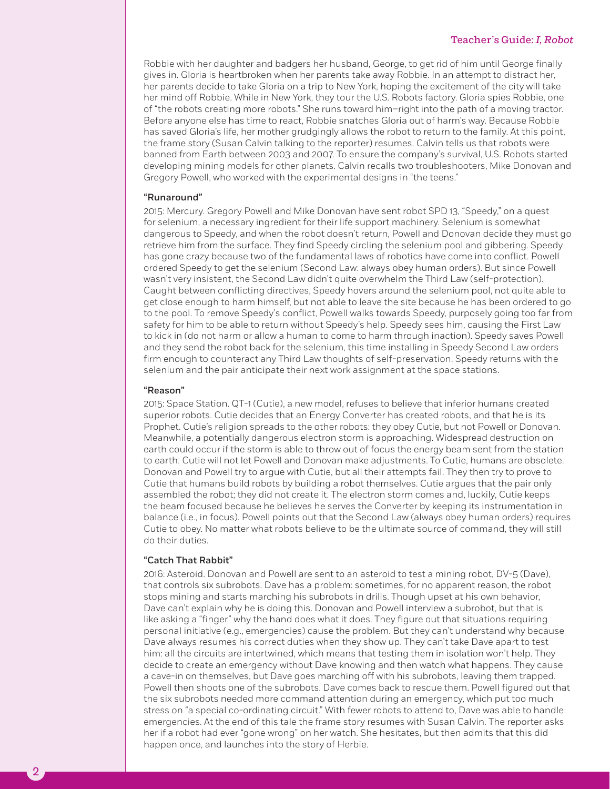#### Teacher's Guide: *I, Robot*

Robbie with her daughter and badgers her husband, George, to get rid of him until George finally gives in. Gloria is heartbroken when her parents take away Robbie. In an attempt to distract her, her parents decide to take Gloria on a trip to New York, hoping the excitement of the city will take her mind off Robbie. While in New York, they tour the U.S. Robots factory. Gloria spies Robbie, one of "the robots creating more robots." She runs toward him–right into the path of a moving tractor. Before anyone else has time to react, Robbie snatches Gloria out of harm's way. Because Robbie has saved Gloria's life, her mother grudgingly allows the robot to return to the family. At this point, the frame story (Susan Calvin talking to the reporter) resumes. Calvin tells us that robots were banned from Earth between 2003 and 2007. To ensure the company's survival, U.S. Robots started developing mining models for other planets. Calvin recalls two troubleshooters, Mike Donovan and Gregory Powell, who worked with the experimental designs in "the teens."

#### "Runaround"

2015: Mercury. Gregory Powell and Mike Donovan have sent robot SPD 13, "Speedy," on a quest for selenium, a necessary ingredient for their life support machinery. Selenium is somewhat dangerous to Speedy, and when the robot doesn't return, Powell and Donovan decide they must go retrieve him from the surface. They find Speedy circling the selenium pool and gibbering. Speedy has gone crazy because two of the fundamental laws of robotics have come into conflict. Powell ordered Speedy to get the selenium (Second Law: always obey human orders). But since Powell wasn't very insistent, the Second Law didn't quite overwhelm the Third Law (self-protection). Caught between conflicting directives, Speedy hovers around the selenium pool, not quite able to get close enough to harm himself, but not able to leave the site because he has been ordered to go to the pool. To remove Speedy's conflict, Powell walks towards Speedy, purposely going too far from safety for him to be able to return without Speedy's help. Speedy sees him, causing the First Law to kick in (do not harm or allow a human to come to harm through inaction). Speedy saves Powell and they send the robot back for the selenium, this time installing in Speedy Second Law orders firm enough to counteract any Third Law thoughts of self-preservation. Speedy returns with the selenium and the pair anticipate their next work assignment at the space stations.

#### "Reason"

2015: Space Station. QT-1 (Cutie), a new model, refuses to believe that inferior humans created superior robots. Cutie decides that an Energy Converter has created robots, and that he is its Prophet. Cutie's religion spreads to the other robots: they obey Cutie, but not Powell or Donovan. Meanwhile, a potentially dangerous electron storm is approaching. Widespread destruction on earth could occur if the storm is able to throw out of focus the energy beam sent from the station to earth. Cutie will not let Powell and Donovan make adjustments. To Cutie, humans are obsolete. Donovan and Powell try to argue with Cutie, but all their attempts fail. They then try to prove to Cutie that humans build robots by building a robot themselves. Cutie argues that the pair only assembled the robot; they did not create it. The electron storm comes and, luckily, Cutie keeps the beam focused because he believes he serves the Converter by keeping its instrumentation in balance (i.e., in focus). Powell points out that the Second Law (always obey human orders) requires Cutie to obey. No matter what robots believe to be the ultimate source of command, they will still do their duties.

#### "Catch That Rabbit"

2016: Asteroid. Donovan and Powell are sent to an asteroid to test a mining robot, DV-5 (Dave), that controls six subrobots. Dave has a problem: sometimes, for no apparent reason, the robot stops mining and starts marching his subrobots in drills. Though upset at his own behavior, Dave can't explain why he is doing this. Donovan and Powell interview a subrobot, but that is like asking a "finger" why the hand does what it does. They figure out that situations requiring personal initiative (e.g., emergencies) cause the problem. But they can't understand why because Dave always resumes his correct duties when they show up. They can't take Dave apart to test him: all the circuits are intertwined, which means that testing them in isolation won't help. They decide to create an emergency without Dave knowing and then watch what happens. They cause a cave-in on themselves, but Dave goes marching off with his subrobots, leaving them trapped. Powell then shoots one of the subrobots. Dave comes back to rescue them. Powell figured out that the six subrobots needed more command attention during an emergency, which put too much stress on "a special co-ordinating circuit." With fewer robots to attend to, Dave was able to handle emergencies. At the end of this tale the frame story resumes with Susan Calvin. The reporter asks her if a robot had ever "gone wrong" on her watch. She hesitates, but then admits that this did happen once, and launches into the story of Herbie.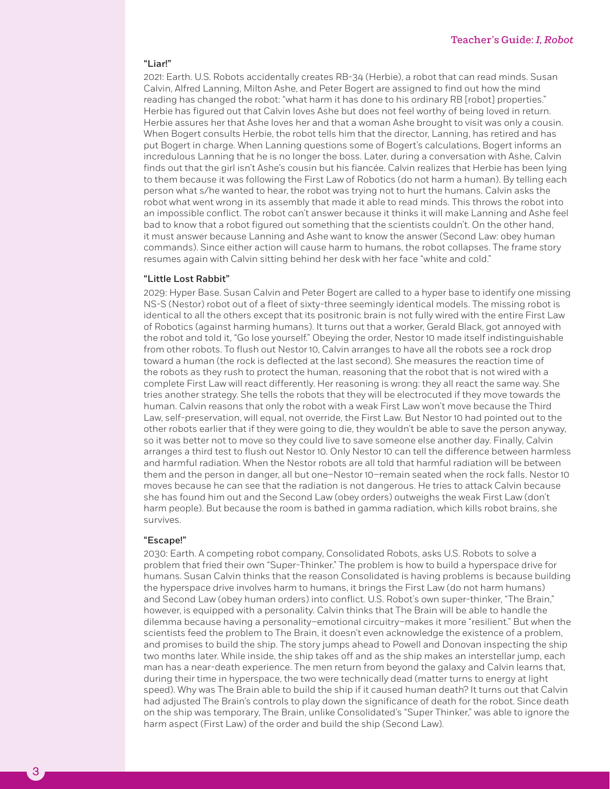#### "Liar!"

2021: Earth. U.S. Robots accidentally creates RB-34 (Herbie), a robot that can read minds. Susan Calvin, Alfred Lanning, Milton Ashe, and Peter Bogert are assigned to find out how the mind reading has changed the robot: "what harm it has done to his ordinary RB [robot] properties." Herbie has figured out that Calvin loves Ashe but does not feel worthy of being loved in return. Herbie assures her that Ashe loves her and that a woman Ashe brought to visit was only a cousin. When Bogert consults Herbie, the robot tells him that the director, Lanning, has retired and has put Bogert in charge. When Lanning questions some of Bogert's calculations, Bogert informs an incredulous Lanning that he is no longer the boss. Later, during a conversation with Ashe, Calvin finds out that the girl isn't Ashe's cousin but his fiancée. Calvin realizes that Herbie has been lying to them because it was following the First Law of Robotics (do not harm a human). By telling each person what s/he wanted to hear, the robot was trying not to hurt the humans. Calvin asks the robot what went wrong in its assembly that made it able to read minds. This throws the robot into an impossible conflict. The robot can't answer because it thinks it will make Lanning and Ashe feel bad to know that a robot figured out something that the scientists couldn't. On the other hand, it must answer because Lanning and Ashe want to know the answer (Second Law: obey human commands). Since either action will cause harm to humans, the robot collapses. The frame story resumes again with Calvin sitting behind her desk with her face "white and cold."

#### "Little Lost Rabbit"

2029: Hyper Base. Susan Calvin and Peter Bogert are called to a hyper base to identify one missing NS-S (Nestor) robot out of a fleet of sixty-three seemingly identical models. The missing robot is identical to all the others except that its positronic brain is not fully wired with the entire First Law of Robotics (against harming humans). It turns out that a worker, Gerald Black, got annoyed with the robot and told it, "Go lose yourself." Obeying the order, Nestor 10 made itself indistinguishable from other robots. To flush out Nestor 10, Calvin arranges to have all the robots see a rock drop toward a human (the rock is deflected at the last second). She measures the reaction time of the robots as they rush to protect the human, reasoning that the robot that is not wired with a complete First Law will react differently. Her reasoning is wrong: they all react the same way. She tries another strategy. She tells the robots that they will be electrocuted if they move towards the human. Calvin reasons that only the robot with a weak First Law won't move because the Third Law, self-preservation, will equal, not override, the First Law. But Nestor 10 had pointed out to the other robots earlier that if they were going to die, they wouldn't be able to save the person anyway, so it was better not to move so they could live to save someone else another day. Finally, Calvin arranges a third test to flush out Nestor 10. Only Nestor 10 can tell the difference between harmless and harmful radiation. When the Nestor robots are all told that harmful radiation will be between them and the person in danger, all but one–Nestor 10–remain seated when the rock falls. Nestor 10 moves because he can see that the radiation is not dangerous. He tries to attack Calvin because she has found him out and the Second Law (obey orders) outweighs the weak First Law (don't harm people). But because the room is bathed in gamma radiation, which kills robot brains, she survives.

#### "Escape!"

2030: Earth. A competing robot company, Consolidated Robots, asks U.S. Robots to solve a problem that fried their own "Super-Thinker." The problem is how to build a hyperspace drive for humans. Susan Calvin thinks that the reason Consolidated is having problems is because building the hyperspace drive involves harm to humans, it brings the First Law (do not harm humans) and Second Law (obey human orders) into conflict. U.S. Robot's own super-thinker, "The Brain," however, is equipped with a personality. Calvin thinks that The Brain will be able to handle the dilemma because having a personality–emotional circuitry–makes it more "resilient." But when the scientists feed the problem to The Brain, it doesn't even acknowledge the existence of a problem, and promises to build the ship. The story jumps ahead to Powell and Donovan inspecting the ship two months later. While inside, the ship takes off and as the ship makes an interstellar jump, each man has a near-death experience. The men return from beyond the galaxy and Calvin learns that, during their time in hyperspace, the two were technically dead (matter turns to energy at light speed). Why was The Brain able to build the ship if it caused human death? It turns out that Calvin had adjusted The Brain's controls to play down the significance of death for the robot. Since death on the ship was temporary, The Brain, unlike Consolidated's "Super Thinker," was able to ignore the harm aspect (First Law) of the order and build the ship (Second Law).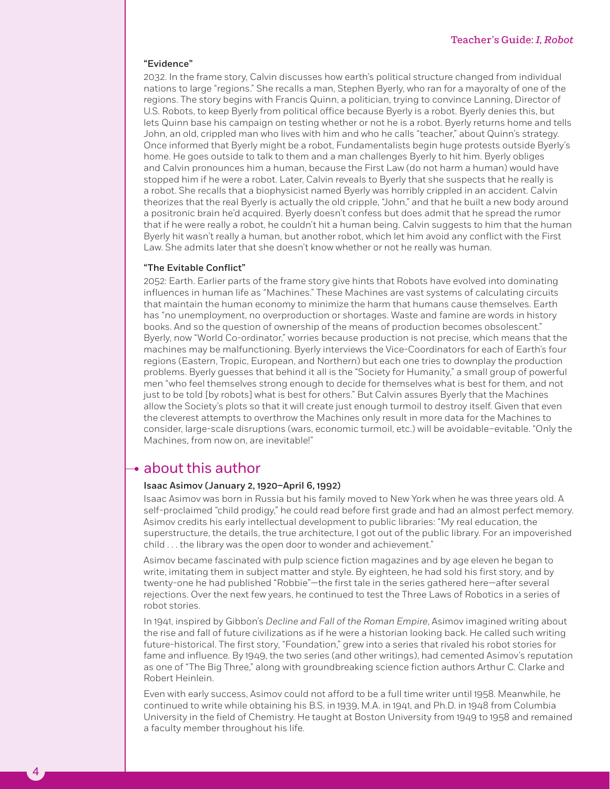#### "Evidence"

2032. In the frame story, Calvin discusses how earth's political structure changed from individual nations to large "regions." She recalls a man, Stephen Byerly, who ran for a mayoralty of one of the regions. The story begins with Francis Quinn, a politician, trying to convince Lanning, Director of U.S. Robots, to keep Byerly from political office because Byerly is a robot. Byerly denies this, but lets Quinn base his campaign on testing whether or not he is a robot. Byerly returns home and tells John, an old, crippled man who lives with him and who he calls "teacher," about Quinn's strategy. Once informed that Byerly might be a robot, Fundamentalists begin huge protests outside Byerly's home. He goes outside to talk to them and a man challenges Byerly to hit him. Byerly obliges and Calvin pronounces him a human, because the First Law (do not harm a human) would have stopped him if he were a robot. Later, Calvin reveals to Byerly that she suspects that he really is a robot. She recalls that a biophysicist named Byerly was horribly crippled in an accident. Calvin theorizes that the real Byerly is actually the old cripple, "John," and that he built a new body around a positronic brain he'd acquired. Byerly doesn't confess but does admit that he spread the rumor that if he were really a robot, he couldn't hit a human being. Calvin suggests to him that the human Byerly hit wasn't really a human, but another robot, which let him avoid any conflict with the First Law. She admits later that she doesn't know whether or not he really was human.

#### "The Evitable Conflict"

2052: Earth. Earlier parts of the frame story give hints that Robots have evolved into dominating influences in human life as "Machines." These Machines are vast systems of calculating circuits that maintain the human economy to minimize the harm that humans cause themselves. Earth has "no unemployment, no overproduction or shortages. Waste and famine are words in history books. And so the question of ownership of the means of production becomes obsolescent." Byerly, now "World Co-ordinator," worries because production is not precise, which means that the machines may be malfunctioning. Byerly interviews the Vice-Coordinators for each of Earth's four regions (Eastern, Tropic, European, and Northern) but each one tries to downplay the production problems. Byerly guesses that behind it all is the "Society for Humanity," a small group of powerful men "who feel themselves strong enough to decide for themselves what is best for them, and not just to be told [by robots] what is best for others." But Calvin assures Byerly that the Machines allow the Society's plots so that it will create just enough turmoil to destroy itself. Given that even the cleverest attempts to overthrow the Machines only result in more data for the Machines to consider, large-scale disruptions (wars, economic turmoil, etc.) will be avoidable–evitable. "Only the Machines, from now on, are inevitable!"

## $\bullet$  about this author

4

#### Isaac Asimov (January 2, 1920–April 6, 1992)

Isaac Asimov was born in Russia but his family moved to New York when he was three years old. A self-proclaimed "child prodigy," he could read before first grade and had an almost perfect memory. Asimov credits his early intellectual development to public libraries: "My real education, the superstructure, the details, the true architecture, I got out of the public library. For an impoverished child . . . the library was the open door to wonder and achievement."

Asimov became fascinated with pulp science fiction magazines and by age eleven he began to write, imitating them in subject matter and style. By eighteen, he had sold his first story, and by twenty-one he had published "Robbie"—the first tale in the series gathered here—after several rejections. Over the next few years, he continued to test the Three Laws of Robotics in a series of robot stories.

In 1941, inspired by Gibbon's *Decline and Fall of the Roman Empire*, Asimov imagined writing about the rise and fall of future civilizations as if he were a historian looking back. He called such writing future-historical. The first story, "Foundation," grew into a series that rivaled his robot stories for fame and influence. By 1949, the two series (and other writings), had cemented Asimov's reputation as one of "The Big Three," along with groundbreaking science fiction authors Arthur C. Clarke and Robert Heinlein.

Even with early success, Asimov could not afford to be a full time writer until 1958. Meanwhile, he continued to write while obtaining his B.S. in 1939, M.A. in 1941, and Ph.D. in 1948 from Columbia University in the field of Chemistry. He taught at Boston University from 1949 to 1958 and remained a faculty member throughout his life.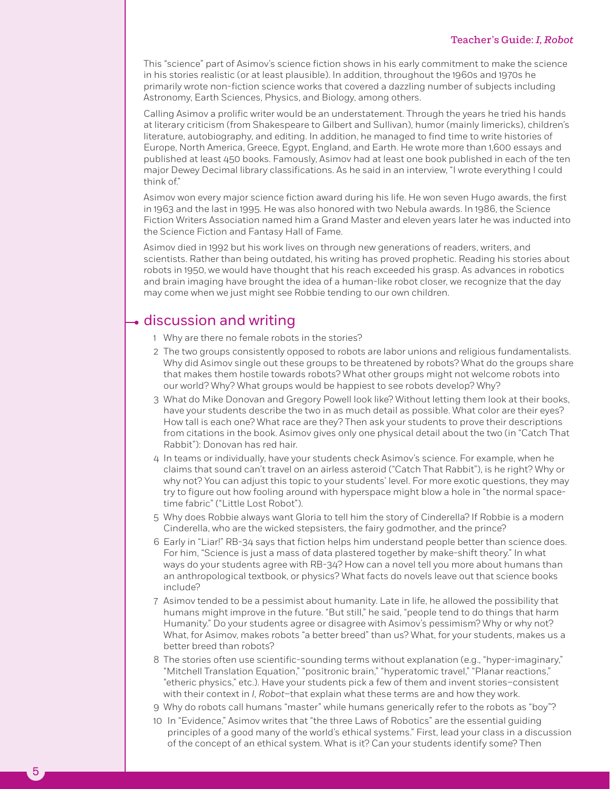This "science" part of Asimov's science fiction shows in his early commitment to make the science in his stories realistic (or at least plausible). In addition, throughout the 1960s and 1970s he primarily wrote non-fiction science works that covered a dazzling number of subjects including Astronomy, Earth Sciences, Physics, and Biology, among others.

Calling Asimov a prolific writer would be an understatement. Through the years he tried his hands at literary criticism (from Shakespeare to Gilbert and Sullivan), humor (mainly limericks), children's literature, autobiography, and editing. In addition, he managed to find time to write histories of Europe, North America, Greece, Egypt, England, and Earth. He wrote more than 1,600 essays and published at least 450 books. Famously, Asimov had at least one book published in each of the ten major Dewey Decimal library classifications. As he said in an interview, "I wrote everything I could think of."

Asimov won every major science fiction award during his life. He won seven Hugo awards, the first in 1963 and the last in 1995. He was also honored with two Nebula awards. In 1986, the Science Fiction Writers Association named him a Grand Master and eleven years later he was inducted into the Science Fiction and Fantasy Hall of Fame.

Asimov died in 1992 but his work lives on through new generations of readers, writers, and scientists. Rather than being outdated, his writing has proved prophetic. Reading his stories about robots in 1950, we would have thought that his reach exceeded his grasp. As advances in robotics and brain imaging have brought the idea of a human-like robot closer, we recognize that the day may come when we just might see Robbie tending to our own children.

## $\rightarrow$  discussion and writing

- 1 Why are there no female robots in the stories?
- 2 The two groups consistently opposed to robots are labor unions and religious fundamentalists. Why did Asimov single out these groups to be threatened by robots? What do the groups share that makes them hostile towards robots? What other groups might not welcome robots into our world? Why? What groups would be happiest to see robots develop? Why?
- 3 What do Mike Donovan and Gregory Powell look like? Without letting them look at their books, have your students describe the two in as much detail as possible. What color are their eyes? How tall is each one? What race are they? Then ask your students to prove their descriptions from citations in the book. Asimov gives only one physical detail about the two (in "Catch That Rabbit"): Donovan has red hair.
- 4 In teams or individually, have your students check Asimov's science. For example, when he claims that sound can't travel on an airless asteroid ("Catch That Rabbit"), is he right? Why or why not? You can adjust this topic to your students' level. For more exotic questions, they may try to figure out how fooling around with hyperspace might blow a hole in "the normal spacetime fabric" ("Little Lost Robot").
- 5 Why does Robbie always want Gloria to tell him the story of Cinderella? If Robbie is a modern Cinderella, who are the wicked stepsisters, the fairy godmother, and the prince?
- 6 Early in "Liar!" RB-34 says that fiction helps him understand people better than science does. For him, "Science is just a mass of data plastered together by make-shift theory." In what ways do your students agree with RB-34? How can a novel tell you more about humans than an anthropological textbook, or physics? What facts do novels leave out that science books include?
- 7 Asimov tended to be a pessimist about humanity. Late in life, he allowed the possibility that humans might improve in the future. "But still," he said, "people tend to do things that harm Humanity." Do your students agree or disagree with Asimov's pessimism? Why or why not? What, for Asimov, makes robots "a better breed" than us? What, for your students, makes us a better breed than robots?
- 8 The stories often use scientific-sounding terms without explanation (e.g., "hyper-imaginary," "Mitchell Translation Equation," "positronic brain," "hyperatomic travel," "Planar reactions," "etheric physics," etc.). Have your students pick a few of them and invent stories–consistent with their context in *I, Robot*–that explain what these terms are and how they work.
- 9 Why do robots call humans "master" while humans generically refer to the robots as "boy"?
- 10 In "Evidence," Asimov writes that "the three Laws of Robotics" are the essential guiding principles of a good many of the world's ethical systems." First, lead your class in a discussion of the concept of an ethical system. What is it? Can your students identify some? Then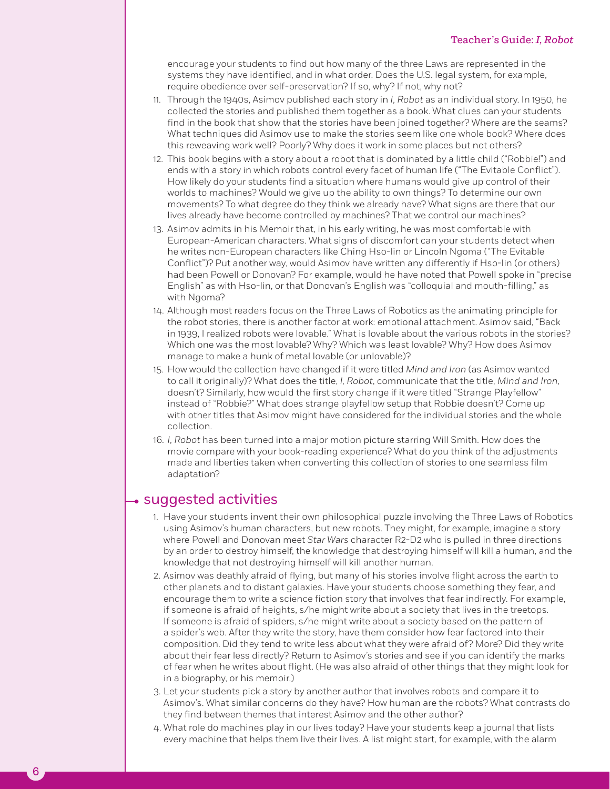encourage your students to find out how many of the three Laws are represented in the systems they have identified, and in what order. Does the U.S. legal system, for example, require obedience over self-preservation? If so, why? If not, why not?

- 11. Through the 1940s, Asimov published each story in *I, Robot* as an individual story. In 1950, he collected the stories and published them together as a book. What clues can your students find in the book that show that the stories have been joined together? Where are the seams? What techniques did Asimov use to make the stories seem like one whole book? Where does this reweaving work well? Poorly? Why does it work in some places but not others?
- 12. This book begins with a story about a robot that is dominated by a little child ("Robbie!") and ends with a story in which robots control every facet of human life ("The Evitable Conflict"). How likely do your students find a situation where humans would give up control of their worlds to machines? Would we give up the ability to own things? To determine our own movements? To what degree do they think we already have? What signs are there that our lives already have become controlled by machines? That we control our machines?
- 13. Asimov admits in his Memoir that, in his early writing, he was most comfortable with European-American characters. What signs of discomfort can your students detect when he writes non-European characters like Ching Hso-lin or Lincoln Ngoma ("The Evitable Conflict")? Put another way, would Asimov have written any differently if Hso-lin (or others) had been Powell or Donovan? For example, would he have noted that Powell spoke in "precise English" as with Hso-lin, or that Donovan's English was "colloquial and mouth-filling," as with Ngoma?
- 14. Although most readers focus on the Three Laws of Robotics as the animating principle for the robot stories, there is another factor at work: emotional attachment. Asimov said, "Back in 1939, I realized robots were lovable." What is lovable about the various robots in the stories? Which one was the most lovable? Why? Which was least lovable? Why? How does Asimov manage to make a hunk of metal lovable (or unlovable)?
- 15. How would the collection have changed if it were titled *Mind and Iron* (as Asimov wanted to call it originally)? What does the title, *I, Robot*, communicate that the title, *Mind and Iron*, doesn't? Similarly, how would the first story change if it were titled "Strange Playfellow" instead of "Robbie?" What does strange playfellow setup that Robbie doesn't? Come up with other titles that Asimov might have considered for the individual stories and the whole collection.
- 16. *I, Robot* has been turned into a major motion picture starring Will Smith. How does the movie compare with your book-reading experience? What do you think of the adjustments made and liberties taken when converting this collection of stories to one seamless film adaptation?

## suggested activities

- 1. Have your students invent their own philosophical puzzle involving the Three Laws of Robotics using Asimov's human characters, but new robots. They might, for example, imagine a story where Powell and Donovan meet *Star Wars* character R2-D2 who is pulled in three directions by an order to destroy himself, the knowledge that destroying himself will kill a human, and the knowledge that not destroying himself will kill another human.
- 2. Asimov was deathly afraid of flying, but many of his stories involve flight across the earth to other planets and to distant galaxies. Have your students choose something they fear, and encourage them to write a science fiction story that involves that fear indirectly. For example, if someone is afraid of heights, s/he might write about a society that lives in the treetops. If someone is afraid of spiders, s/he might write about a society based on the pattern of a spider's web. After they write the story, have them consider how fear factored into their composition. Did they tend to write less about what they were afraid of? More? Did they write about their fear less directly? Return to Asimov's stories and see if you can identify the marks of fear when he writes about flight. (He was also afraid of other things that they might look for in a biography, or his memoir.)
- 3. Let your students pick a story by another author that involves robots and compare it to Asimov's. What similar concerns do they have? How human are the robots? What contrasts do they find between themes that interest Asimov and the other author?
- 4. What role do machines play in our lives today? Have your students keep a journal that lists every machine that helps them live their lives. A list might start, for example, with the alarm